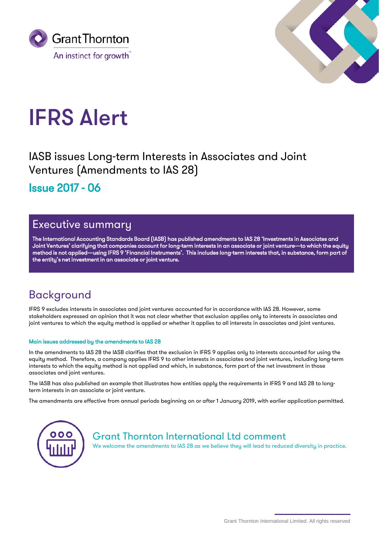



# IFRS Alert

IASB issues Long-term Interests in Associates and Joint Ventures (Amendments to IAS 28) Issue 2017 - 06

## Executive summary

The International Accounting Standards Board (IASB) has published amendments to IAS 28 'Investments in Associates and Joint Ventures' clarifying that companies account for long-term interests in an associate or joint venture—to which the equity method is not applied—using IFRS 9 'Financial Instruments'. This includes long-term interests that, in substance, form part of the entity's net investment in an associate or joint venture.

## Background

IFRS 9 excludes interests in associates and joint ventures accounted for in accordance with IAS 28. However, some stakeholders expressed an opinion that it was not clear whether that exclusion applies only to interests in associates and joint ventures to which the equity method is applied or whether it applies to all interests in associates and joint ventures.

### Main issues addressed by the amendments to IAS 28

In the amendments to IAS 28 the IASB clarifies that the exclusion in IFRS 9 applies only to interests accounted for using the equity method. Therefore, a company applies IFRS 9 to other interests in associates and joint ventures, including long-term interests to which the equity method is not applied and which, in substance, form part of the net investment in those associates and joint ventures.

The IASB has also published an example that illustrates how entities apply the requirements in IFRS 9 and IAS 28 to longterm interests in an associate or joint venture.

The amendments are effective from annual periods beginning on or after 1 January 2019, with earlier application permitted.



Grant Thornton International Ltd comment

We welcome the amendments to IAS 28 as we believe they will lead to reduced diversity in practice.

Grant Thornton International Limited. All rights reserved